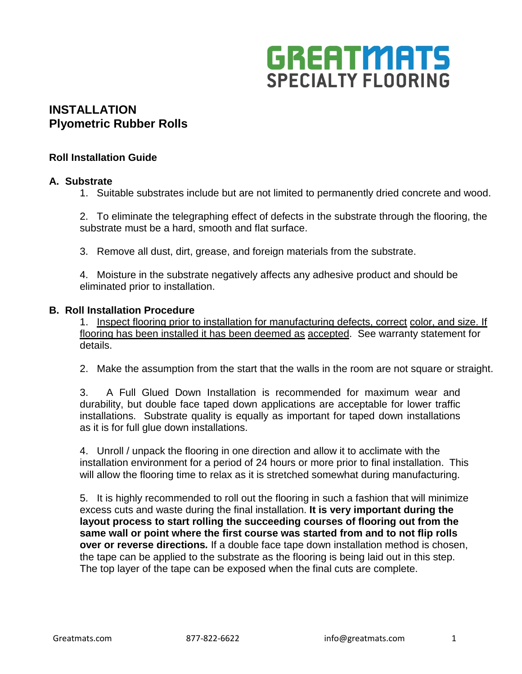

## **INSTALLATION Plyometric Rubber Rolls**

### **Roll Installation Guide**

### **A. Substrate**

1. Suitable substrates include but are not limited to permanently dried concrete and wood.

2. To eliminate the telegraphing effect of defects in the substrate through the flooring, the substrate must be a hard, smooth and flat surface.

3. Remove all dust, dirt, grease, and foreign materials from the substrate.

4. Moisture in the substrate negatively affects any adhesive product and should be eliminated prior to installation.

#### **B. Roll Installation Procedure**

1. Inspect flooring prior to installation for manufacturing defects, correct color, and size. If flooring has been installed it has been deemed as accepted. See warranty statement for details.

2. Make the assumption from the start that the walls in the room are not square or straight.

3. A Full Glued Down Installation is recommended for maximum wear and durability, but double face taped down applications are acceptable for lower traffic installations. Substrate quality is equally as important for taped down installations as it is for full glue down installations.

4. Unroll / unpack the flooring in one direction and allow it to acclimate with the installation environment for a period of 24 hours or more prior to final installation. This will allow the flooring time to relax as it is stretched somewhat during manufacturing.

5. It is highly recommended to roll out the flooring in such a fashion that will minimize excess cuts and waste during the final installation. **It is very important during the layout process to start rolling the succeeding courses of flooring out from the same wall or point where the first course was started from and to not flip rolls over or reverse directions***.* If a double face tape down installation method is chosen, the tape can be applied to the substrate as the flooring is being laid out in this step. The top layer of the tape can be exposed when the final cuts are complete.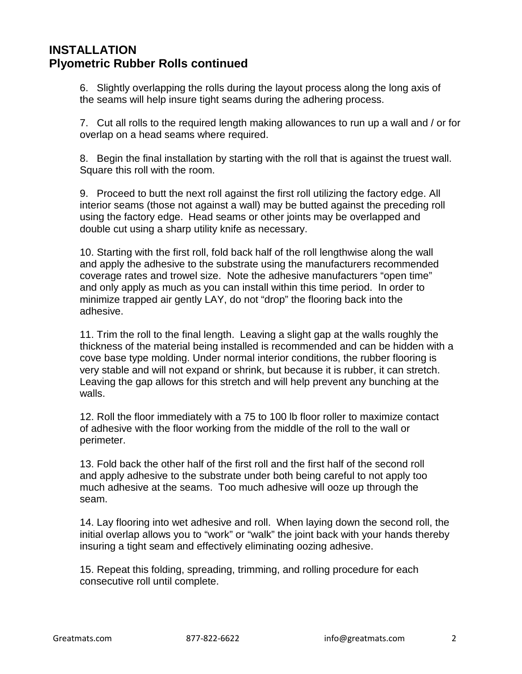## **INSTALLATION Plyometric Rubber Rolls continued**

6. Slightly overlapping the rolls during the layout process along the long axis of the seams will help insure tight seams during the adhering process.

7. Cut all rolls to the required length making allowances to run up a wall and / or for overlap on a head seams where required.

8. Begin the final installation by starting with the roll that is against the truest wall. Square this roll with the room.

9. Proceed to butt the next roll against the first roll utilizing the factory edge. All interior seams (those not against a wall) may be butted against the preceding roll using the factory edge. Head seams or other joints may be overlapped and double cut using a sharp utility knife as necessary.

10. Starting with the first roll, fold back half of the roll lengthwise along the wall and apply the adhesive to the substrate using the manufacturers recommended coverage rates and trowel size. Note the adhesive manufacturers "open time" and only apply as much as you can install within this time period. In order to minimize trapped air gently LAY, do not "drop" the flooring back into the adhesive.

11. Trim the roll to the final length. Leaving a slight gap at the walls roughly the thickness of the material being installed is recommended and can be hidden with a cove base type molding. Under normal interior conditions, the rubber flooring is very stable and will not expand or shrink, but because it is rubber, it can stretch. Leaving the gap allows for this stretch and will help prevent any bunching at the walls.

12. Roll the floor immediately with a 75 to 100 lb floor roller to maximize contact of adhesive with the floor working from the middle of the roll to the wall or perimeter.

13. Fold back the other half of the first roll and the first half of the second roll and apply adhesive to the substrate under both being careful to not apply too much adhesive at the seams. Too much adhesive will ooze up through the seam.

14. Lay flooring into wet adhesive and roll. When laying down the second roll, the initial overlap allows you to "work" or "walk" the joint back with your hands thereby insuring a tight seam and effectively eliminating oozing adhesive.

15. Repeat this folding, spreading, trimming, and rolling procedure for each consecutive roll until complete.